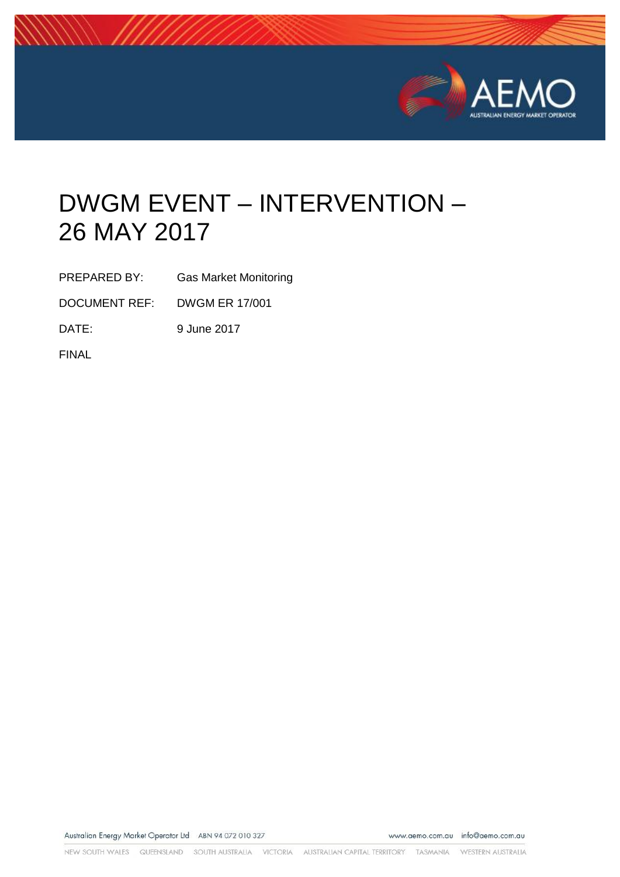

# DWGM EVENT – INTERVENTION – 26 MAY 2017

PREPARED BY: Gas Market Monitoring

DOCUMENT REF: DWGM ER 17/001

DATE: 9 June 2017

FINAL

Australian Energy Market Operator Ltd ABN 94 072 010 327

www.aemo.com.au info@aemo.com.au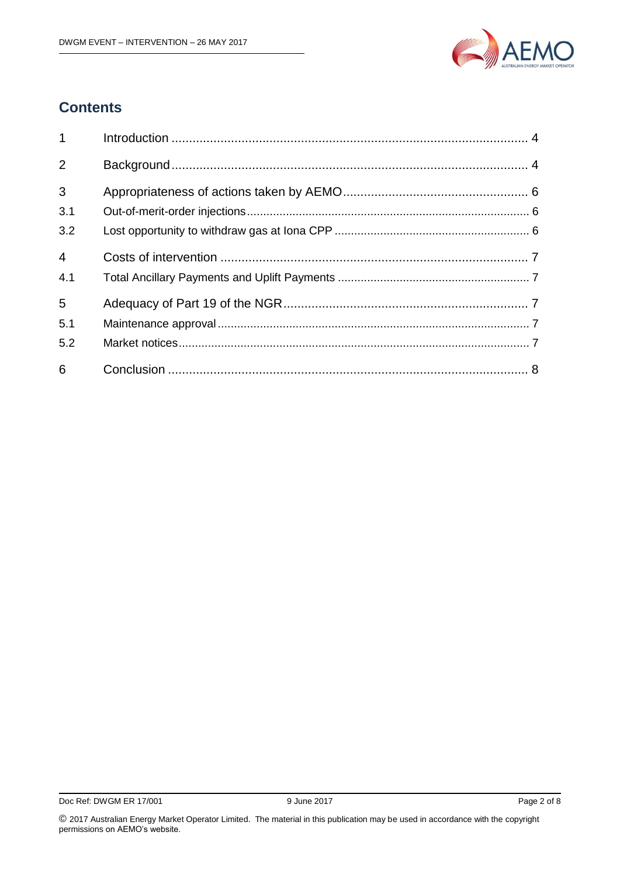

## **Contents**

| 1 <sup>1</sup> |  |
|----------------|--|
| 2              |  |
| $\mathbf{3}$   |  |
| 3.1            |  |
| 3.2            |  |
| $\overline{4}$ |  |
| 4.1            |  |
| 5              |  |
| 5.1            |  |
| 5.2            |  |
| 6              |  |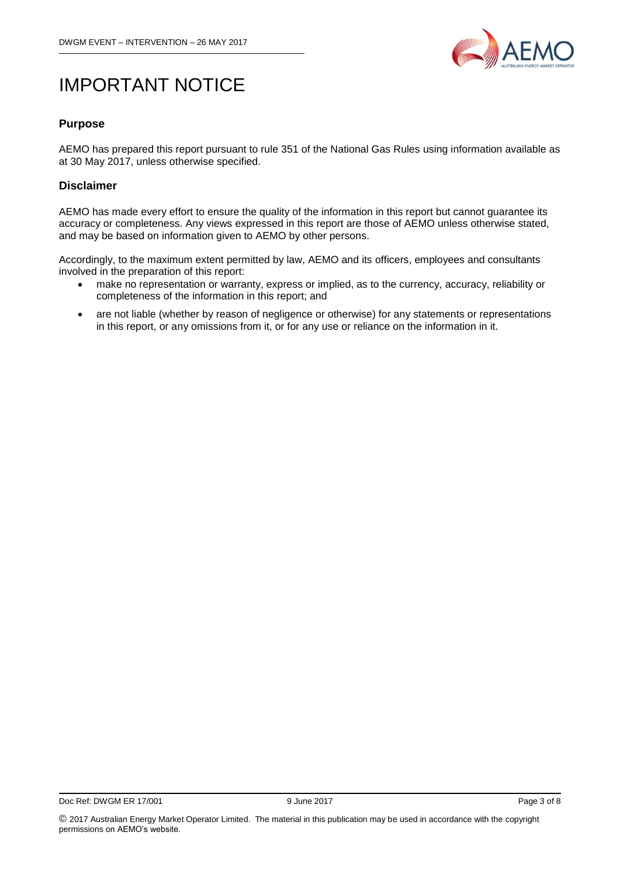

## IMPORTANT NOTICE

#### **Purpose**

AEMO has prepared this report pursuant to rule 351 of the National Gas Rules using information available as at 30 May 2017, unless otherwise specified.

#### **Disclaimer**

AEMO has made every effort to ensure the quality of the information in this report but cannot guarantee its accuracy or completeness. Any views expressed in this report are those of AEMO unless otherwise stated, and may be based on information given to AEMO by other persons.

Accordingly, to the maximum extent permitted by law, AEMO and its officers, employees and consultants involved in the preparation of this report:

- make no representation or warranty, express or implied, as to the currency, accuracy, reliability or completeness of the information in this report; and
- are not liable (whether by reason of negligence or otherwise) for any statements or representations in this report, or any omissions from it, or for any use or reliance on the information in it.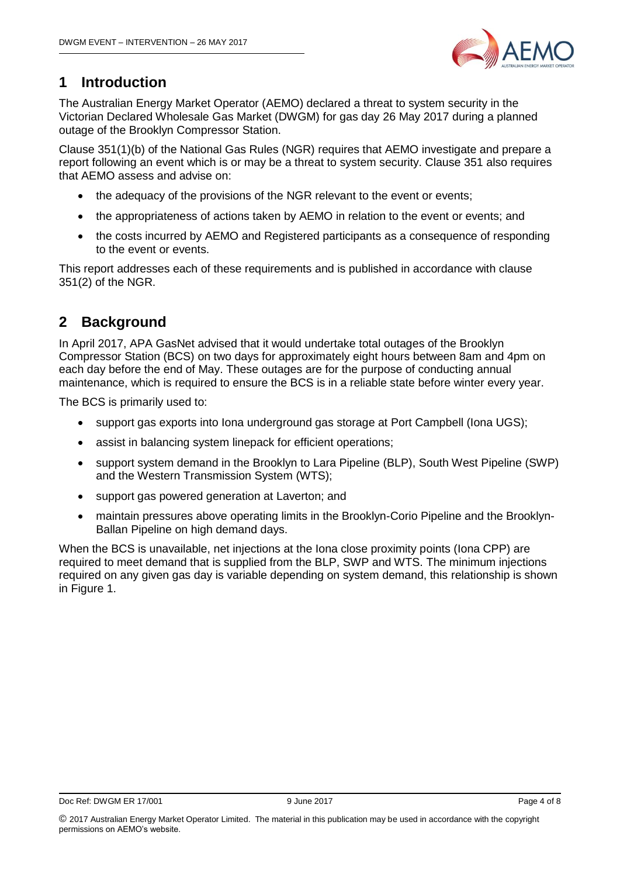

## <span id="page-3-0"></span>**1 Introduction**

The Australian Energy Market Operator (AEMO) declared a threat to system security in the Victorian Declared Wholesale Gas Market (DWGM) for gas day 26 May 2017 during a planned outage of the Brooklyn Compressor Station.

Clause 351(1)(b) of the National Gas Rules (NGR) requires that AEMO investigate and prepare a report following an event which is or may be a threat to system security. Clause 351 also requires that AEMO assess and advise on:

- the adequacy of the provisions of the NGR relevant to the event or events;
- the appropriateness of actions taken by AEMO in relation to the event or events; and
- the costs incurred by AEMO and Registered participants as a consequence of responding to the event or events.

This report addresses each of these requirements and is published in accordance with clause 351(2) of the NGR.

## <span id="page-3-1"></span>**2 Background**

In April 2017, APA GasNet advised that it would undertake total outages of the Brooklyn Compressor Station (BCS) on two days for approximately eight hours between 8am and 4pm on each day before the end of May. These outages are for the purpose of conducting annual maintenance, which is required to ensure the BCS is in a reliable state before winter every year.

The BCS is primarily used to:

- support gas exports into Iona underground gas storage at Port Campbell (Iona UGS);
- assist in balancing system linepack for efficient operations;
- support system demand in the Brooklyn to Lara Pipeline (BLP), South West Pipeline (SWP) and the Western Transmission System (WTS);
- support gas powered generation at Laverton; and
- maintain pressures above operating limits in the Brooklyn-Corio Pipeline and the Brooklyn-Ballan Pipeline on high demand days.

When the BCS is unavailable, net injections at the Iona close proximity points (Iona CPP) are required to meet demand that is supplied from the BLP, SWP and WTS. The minimum injections required on any given gas day is variable depending on system demand, this relationship is shown in Figure 1.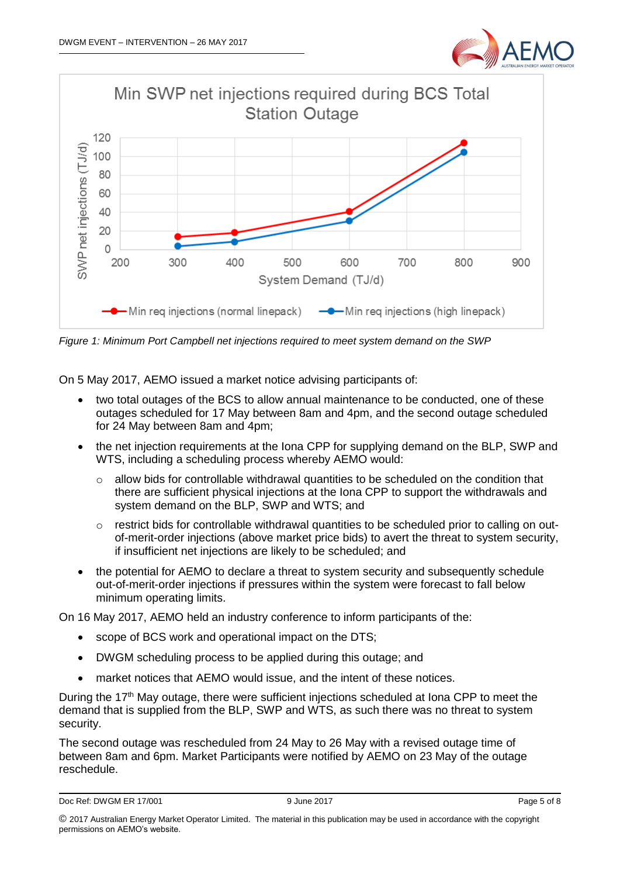



*Figure 1: Minimum Port Campbell net injections required to meet system demand on the SWP*

On 5 May 2017, AEMO issued a market notice advising participants of:

- two total outages of the BCS to allow annual maintenance to be conducted, one of these outages scheduled for 17 May between 8am and 4pm, and the second outage scheduled for 24 May between 8am and 4pm;
- the net injection requirements at the Iona CPP for supplying demand on the BLP, SWP and WTS, including a scheduling process whereby AEMO would:
	- $\circ$  allow bids for controllable withdrawal quantities to be scheduled on the condition that there are sufficient physical injections at the Iona CPP to support the withdrawals and system demand on the BLP, SWP and WTS; and
	- o restrict bids for controllable withdrawal quantities to be scheduled prior to calling on outof-merit-order injections (above market price bids) to avert the threat to system security, if insufficient net injections are likely to be scheduled; and
- the potential for AEMO to declare a threat to system security and subsequently schedule out-of-merit-order injections if pressures within the system were forecast to fall below minimum operating limits.

On 16 May 2017, AEMO held an industry conference to inform participants of the:

- scope of BCS work and operational impact on the DTS;
- DWGM scheduling process to be applied during this outage; and
- market notices that AEMO would issue, and the intent of these notices.

During the  $17<sup>th</sup>$  May outage, there were sufficient injections scheduled at Iona CPP to meet the demand that is supplied from the BLP, SWP and WTS, as such there was no threat to system security.

The second outage was rescheduled from 24 May to 26 May with a revised outage time of between 8am and 6pm. Market Participants were notified by AEMO on 23 May of the outage reschedule.

```
Doc Ref: DWGM ER 17/001 error and the state of 9 June 2017 error and the state of 8 Page 5 of 8
```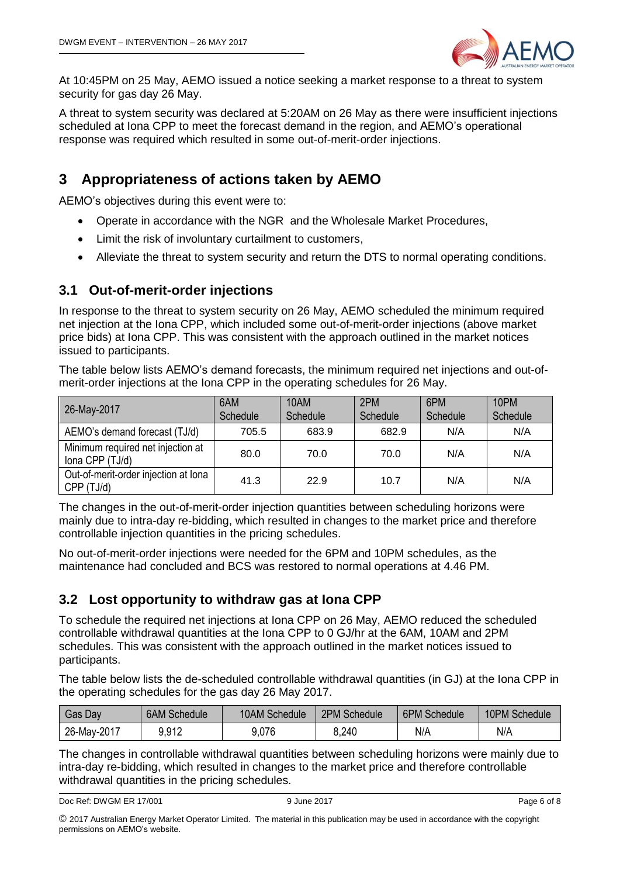

At 10:45PM on 25 May, AEMO issued a notice seeking a market response to a threat to system security for gas day 26 May.

A threat to system security was declared at 5:20AM on 26 May as there were insufficient injections scheduled at Iona CPP to meet the forecast demand in the region, and AEMO's operational response was required which resulted in some out-of-merit-order injections.

### <span id="page-5-0"></span>**3 Appropriateness of actions taken by AEMO**

AEMO's objectives during this event were to:

- Operate in accordance with the NGR and the Wholesale Market Procedures,
- Limit the risk of involuntary curtailment to customers,
- Alleviate the threat to system security and return the DTS to normal operating conditions.

#### <span id="page-5-1"></span>**3.1 Out-of-merit-order injections**

In response to the threat to system security on 26 May, AEMO scheduled the minimum required net injection at the Iona CPP, which included some out-of-merit-order injections (above market price bids) at Iona CPP. This was consistent with the approach outlined in the market notices issued to participants.

The table below lists AEMO's demand forecasts, the minimum required net injections and out-ofmerit-order injections at the Iona CPP in the operating schedules for 26 May.

| 26-May-2017                                          | 6AM<br>Schedule | 10AM<br>Schedule | 2PM<br>Schedule | 6PM<br>Schedule | 10PM<br>Schedule |
|------------------------------------------------------|-----------------|------------------|-----------------|-----------------|------------------|
| AEMO's demand forecast (TJ/d)                        | 705.5           | 683.9            | 682.9           | N/A             | N/A              |
| Minimum required net injection at<br>Iona CPP (TJ/d) | 80.0            | 70.0             | 70.0            | N/A             | N/A              |
| Out-of-merit-order injection at lona<br>CPP (TJ/d)   | 41.3            | 22.9             | 10.7            | N/A             | N/A              |

The changes in the out-of-merit-order injection quantities between scheduling horizons were mainly due to intra-day re-bidding, which resulted in changes to the market price and therefore controllable injection quantities in the pricing schedules.

No out-of-merit-order injections were needed for the 6PM and 10PM schedules, as the maintenance had concluded and BCS was restored to normal operations at 4.46 PM.

#### <span id="page-5-2"></span>**3.2 Lost opportunity to withdraw gas at Iona CPP**

To schedule the required net injections at Iona CPP on 26 May, AEMO reduced the scheduled controllable withdrawal quantities at the Iona CPP to 0 GJ/hr at the 6AM, 10AM and 2PM schedules. This was consistent with the approach outlined in the market notices issued to participants.

The table below lists the de-scheduled controllable withdrawal quantities (in GJ) at the Iona CPP in the operating schedules for the gas day 26 May 2017.

| Gas Day     | <b>6AM Schedule</b> | 10AM Schedule | 2PM Schedule | <b>6PM Schedule</b> | 10PM Schedule |
|-------------|---------------------|---------------|--------------|---------------------|---------------|
| 26-May-2017 | 9,912               | 9.076         | 8,240        | N/A                 | N/A           |

The changes in controllable withdrawal quantities between scheduling horizons were mainly due to intra-day re-bidding, which resulted in changes to the market price and therefore controllable withdrawal quantities in the pricing schedules.

```
Doc Ref: DWGM ER 17/001 error and the state of 8 gas and 9 June 2017 error and the state of 8 gas and Page 6 of 8
```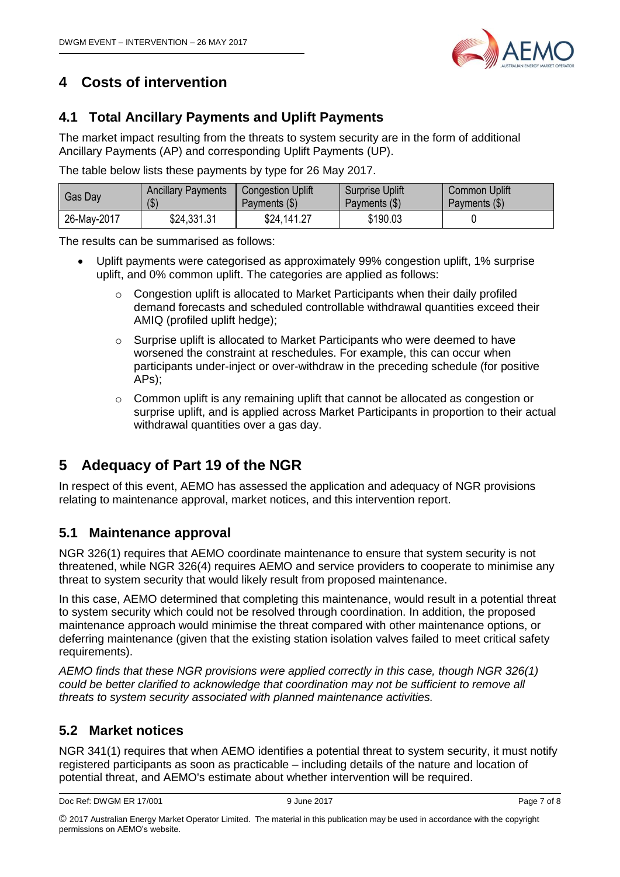

## <span id="page-6-0"></span>**4 Costs of intervention**

#### <span id="page-6-1"></span>**4.1 Total Ancillary Payments and Uplift Payments**

The market impact resulting from the threats to system security are in the form of additional Ancillary Payments (AP) and corresponding Uplift Payments (UP).

The table below lists these payments by type for 26 May 2017.

| Gas Day     | <b>Ancillary Payments</b>  | <b>Congestion Uplift</b> | <b>Surprise Uplift</b> | <b>Common Uplift</b> |
|-------------|----------------------------|--------------------------|------------------------|----------------------|
|             | $\left( \text{\$} \right)$ | Payments (\$)            | Payments (\$)          | Payments (\$)        |
| 26-May-2017 | \$24,331.31                | \$24,141.27              | \$190.03               |                      |

The results can be summarised as follows:

- Uplift payments were categorised as approximately 99% congestion uplift, 1% surprise uplift, and 0% common uplift. The categories are applied as follows:
	- $\circ$  Congestion uplift is allocated to Market Participants when their daily profiled demand forecasts and scheduled controllable withdrawal quantities exceed their AMIQ (profiled uplift hedge);
	- $\circ$  Surprise uplift is allocated to Market Participants who were deemed to have worsened the constraint at reschedules. For example, this can occur when participants under-inject or over-withdraw in the preceding schedule (for positive APs);
	- o Common uplift is any remaining uplift that cannot be allocated as congestion or surprise uplift, and is applied across Market Participants in proportion to their actual withdrawal quantities over a gas day.

## <span id="page-6-2"></span>**5 Adequacy of Part 19 of the NGR**

In respect of this event, AEMO has assessed the application and adequacy of NGR provisions relating to maintenance approval, market notices, and this intervention report.

#### <span id="page-6-3"></span>**5.1 Maintenance approval**

NGR 326(1) requires that AEMO coordinate maintenance to ensure that system security is not threatened, while NGR 326(4) requires AEMO and service providers to cooperate to minimise any threat to system security that would likely result from proposed maintenance.

In this case, AEMO determined that completing this maintenance, would result in a potential threat to system security which could not be resolved through coordination. In addition, the proposed maintenance approach would minimise the threat compared with other maintenance options, or deferring maintenance (given that the existing station isolation valves failed to meet critical safety requirements).

*AEMO finds that these NGR provisions were applied correctly in this case, though NGR 326(1) could be better clarified to acknowledge that coordination may not be sufficient to remove all threats to system security associated with planned maintenance activities.* 

#### <span id="page-6-4"></span>**5.2 Market notices**

NGR 341(1) requires that when AEMO identifies a potential threat to system security, it must notify registered participants as soon as practicable – including details of the nature and location of potential threat, and AEMO's estimate about whether intervention will be required.